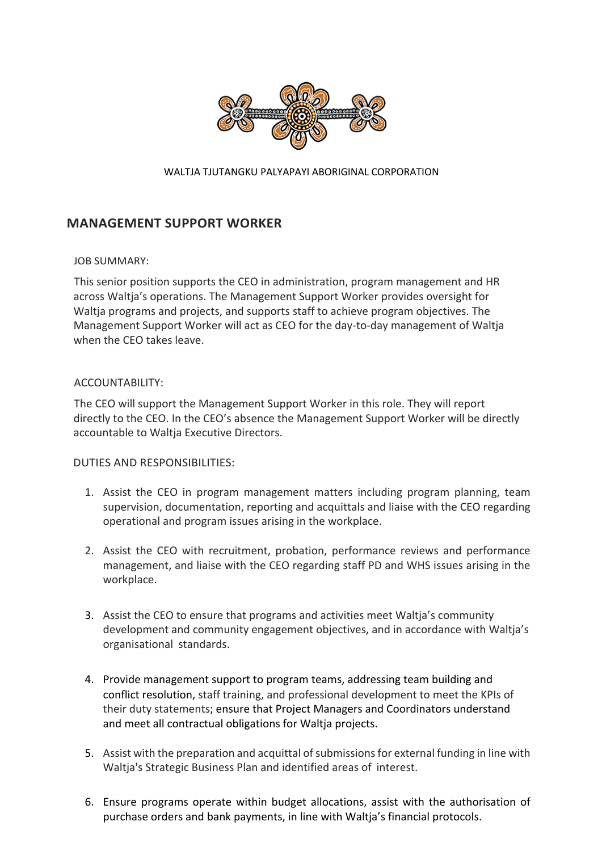

#### WALTJA TJUTANGKU PALYAPAYI ABORIGINAL CORPORATION

# **MANAGEMENT SUPPORT WORKER**

#### JOB SUMMARY:

This senior position supports the CEO in administration, program management and HR across Waltja's operations. The Management Support Worker provides oversight for Waltja programs and projects, and supports staff to achieve program objectives. The Management Support Worker will act as CEO for the day-to-day management of Waltja when the CEO takes leave.

## ACCOUNTABILITY:

The CEO will support the Management Support Worker in this role. They will report directly to the CEO. In the CEO's absence the Management Support Worker will be directly accountable to Waltja Executive Directors.

## DUTIES AND RESPONSIBILITIES:

- 1. Assist the CEO in program management matters including program planning, team supervision, documentation, reporting and acquittals and liaise with the CEO regarding operational and program issues arising in the workplace.
- 2. Assist the CEO with recruitment, probation, performance reviews and performance management, and liaise with the CEO regarding staff PD and WHS issues arising in the workplace.
- 3. Assist the CEO to ensure that programs and activities meet Waltja's community development and community engagement objectives, and in accordance with Waltja's organisational standards.
- 4. Provide management support to program teams, addressing team building and conflict resolution, staff training, and professional development to meet the KPIs of their duty statements; ensure that Project Managers and Coordinators understand and meet all contractual obligations for Waltja projects.
- 5. Assist with the preparation and acquittal of submissions for external funding in line with Waltja's Strategic Business Plan and identified areas of interest.
- 6. Ensure programs operate within budget allocations, assist with the authorisation of purchase orders and bank payments, in line with Waltja's financial protocols.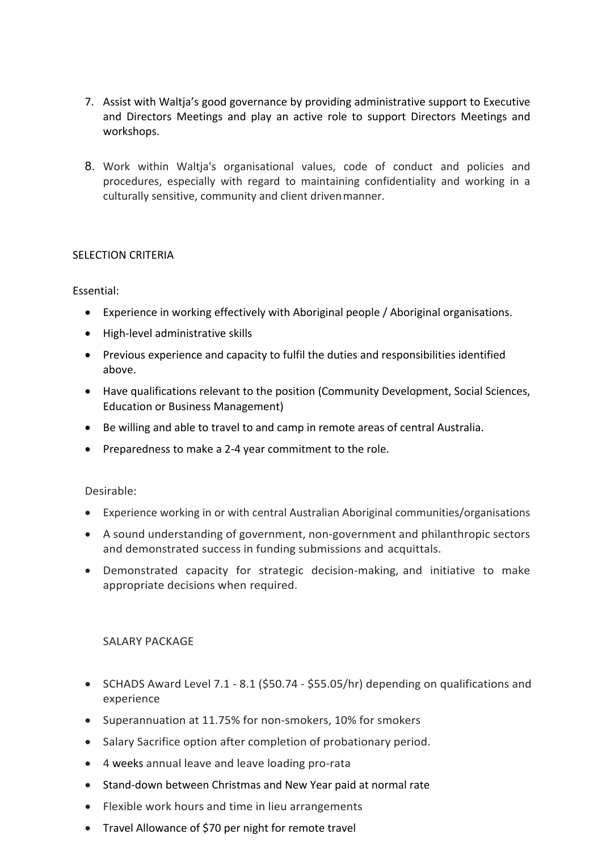- 7. Assist with Waltja's good governance by providing administrative support to Executive and Directors Meetings and play an active role to support Directors Meetings and workshops.
- 8. Work within Waltja's organisational values, code of conduct and policies and procedures, especially with regard to maintaining confidentiality and working in a culturally sensitive, community and client driven manner.

# SELECTION CRITERIA

# Essential:

- Experience in working effectively with Aboriginal people / Aboriginal organisations.
- High-level administrative skills
- Previous experience and capacity to fulfil the duties and responsibilities identified above.
- Have qualifications relevant to the position (Community Development, Social Sciences, Education or Business Management)
- Be willing and able to travel to and camp in remote areas of central Australia.
- Preparedness to make a 2-4 year commitment to the role.

## Desirable:

- Experience working in or with central Australian Aboriginal communities/organisations
- A sound understanding of government, non-government and philanthropic sectors and demonstrated success in funding submissions and acquittals.
- Demonstrated capacity for strategic decision-making, and initiative to make appropriate decisions when required.

# SALARY PACKAGE

- SCHADS Award Level 7.1 8.1 (\$50.74 \$55.05/hr) depending on qualifications and experience
- Superannuation at 11.75% for non-smokers, 10% for smokers
- Salary Sacrifice option after completion of probationary period.
- 4 weeks annual leave and leave loading pro-rata
- Stand-down between Christmas and New Year paid at normal rate
- Flexible work hours and time in lieu arrangements
- Travel Allowance of \$70 per night for remote travel